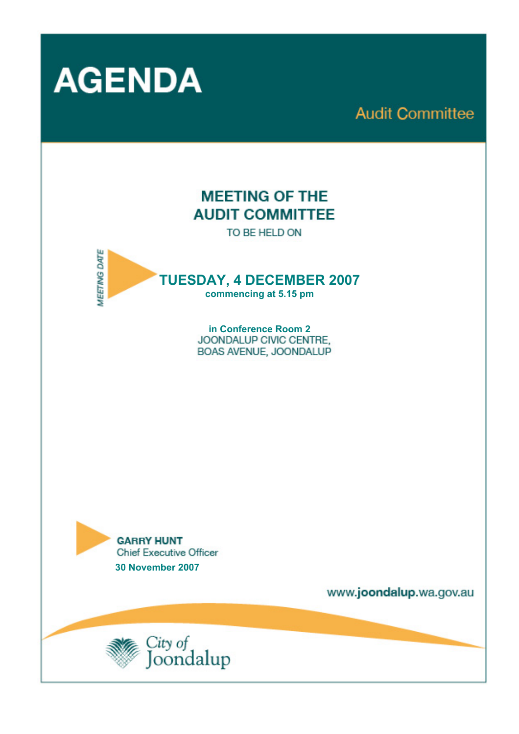

# **Audit Committee**

# **MEETING OF THE AUDIT COMMITTEE**

TO BE HELD ON



**in Conference Room 2**  BOAS AVENUE, JOONDALUP



www.joondalup.wa.gov.au

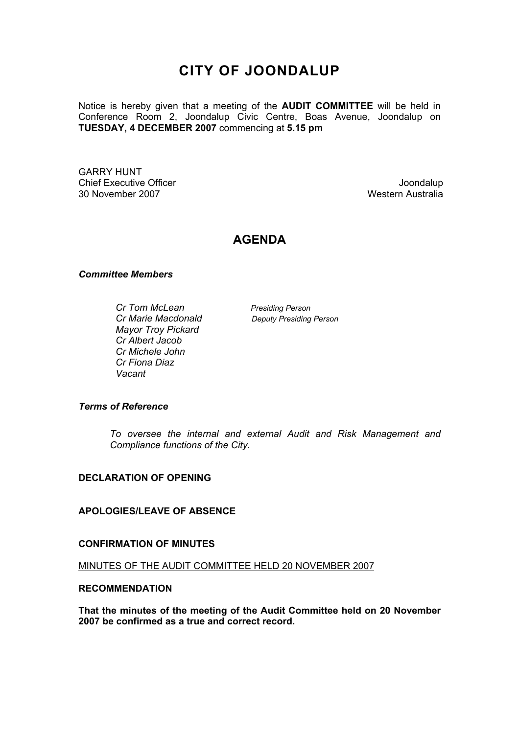## **CITY OF JOONDALUP**

Notice is hereby given that a meeting of the **AUDIT COMMITTEE** will be held in Conference Room 2, Joondalup Civic Centre, Boas Avenue, Joondalup on **TUESDAY, 4 DECEMBER 2007** commencing at **5.15 pm** 

GARRY HUNT **Chief Executive Officer Chief Executive Officer According to the Chief Executive Officer Chief Executive Officer** 30 November 2007 Western Australia

### **AGENDA**

#### *Committee Members*

*Cr Tom McLean* Presiding Person  *Cr Marie Macdonald Deputy Presiding Person Mayor Troy Pickard Cr Albert Jacob Cr Michele John Cr Fiona Diaz Vacant*

#### *Terms of Reference*

*To oversee the internal and external Audit and Risk Management and Compliance functions of the City.* 

#### **DECLARATION OF OPENING**

#### **APOLOGIES/LEAVE OF ABSENCE**

#### **CONFIRMATION OF MINUTES**

MINUTES OF THE AUDIT COMMITTEE HELD 20 NOVEMBER 2007

#### **RECOMMENDATION**

**That the minutes of the meeting of the Audit Committee held on 20 November 2007 be confirmed as a true and correct record.**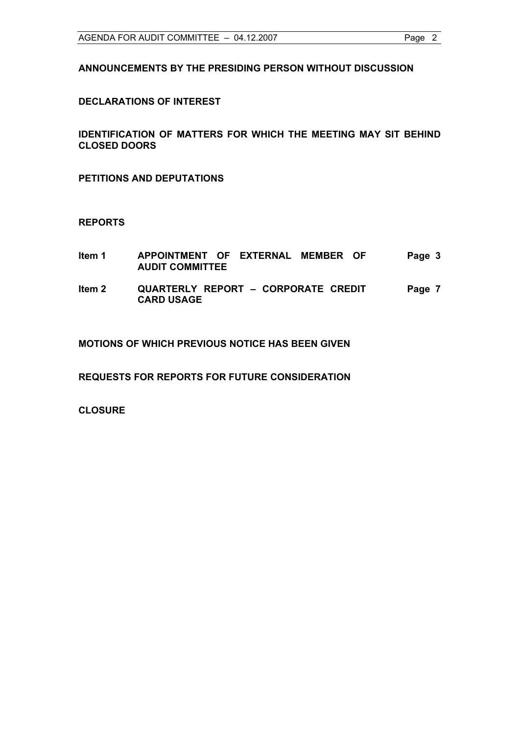**ANNOUNCEMENTS BY THE PRESIDING PERSON WITHOUT DISCUSSION** 

#### **DECLARATIONS OF INTEREST**

**IDENTIFICATION OF MATTERS FOR WHICH THE MEETING MAY SIT BEHIND CLOSED DOORS** 

**PETITIONS AND DEPUTATIONS** 

#### **REPORTS**

| ltem 1 | APPOINTMENT OF EXTERNAL MEMBER OF<br><b>AUDIT COMMITTEE</b> | Page 3 |
|--------|-------------------------------------------------------------|--------|
| ltem 2 | QUARTERLY REPORT - CORPORATE CREDIT<br><b>CARD USAGE</b>    | Page 7 |

**MOTIONS OF WHICH PREVIOUS NOTICE HAS BEEN GIVEN** 

**REQUESTS FOR REPORTS FOR FUTURE CONSIDERATION** 

**CLOSURE**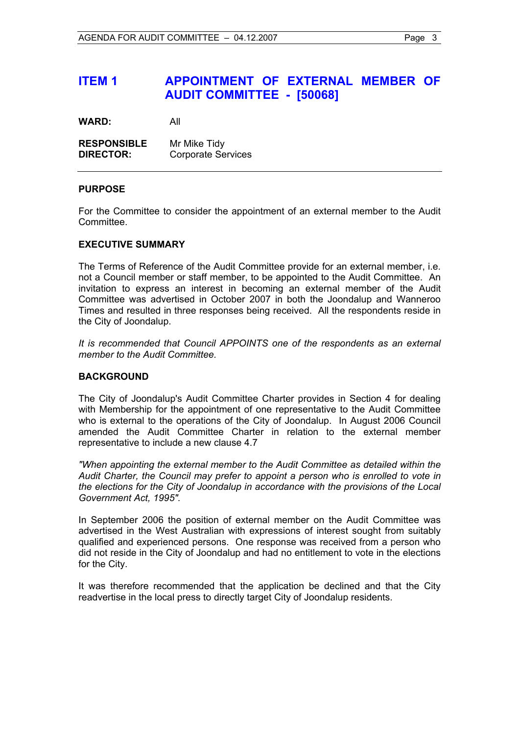## **ITEM 1 APPOINTMENT OF EXTERNAL MEMBER OF AUDIT COMMITTEE - [50068]**

**WARD:** All

| <b>RESPONSIBLE</b> | Mr Mike Tidy              |
|--------------------|---------------------------|
| <b>DIRECTOR:</b>   | <b>Corporate Services</b> |

#### **PURPOSE**

For the Committee to consider the appointment of an external member to the Audit Committee.

#### **EXECUTIVE SUMMARY**

The Terms of Reference of the Audit Committee provide for an external member, i.e. not a Council member or staff member, to be appointed to the Audit Committee. An invitation to express an interest in becoming an external member of the Audit Committee was advertised in October 2007 in both the Joondalup and Wanneroo Times and resulted in three responses being received. All the respondents reside in the City of Joondalup.

*It is recommended that Council APPOINTS one of the respondents as an external member to the Audit Committee.* 

#### **BACKGROUND**

The City of Joondalup's Audit Committee Charter provides in Section 4 for dealing with Membership for the appointment of one representative to the Audit Committee who is external to the operations of the City of Joondalup. In August 2006 Council amended the Audit Committee Charter in relation to the external member representative to include a new clause 4.7

*"When appointing the external member to the Audit Committee as detailed within the Audit Charter, the Council may prefer to appoint a person who is enrolled to vote in the elections for the City of Joondalup in accordance with the provisions of the Local Government Act, 1995".* 

In September 2006 the position of external member on the Audit Committee was advertised in the West Australian with expressions of interest sought from suitably qualified and experienced persons. One response was received from a person who did not reside in the City of Joondalup and had no entitlement to vote in the elections for the City.

It was therefore recommended that the application be declined and that the City readvertise in the local press to directly target City of Joondalup residents.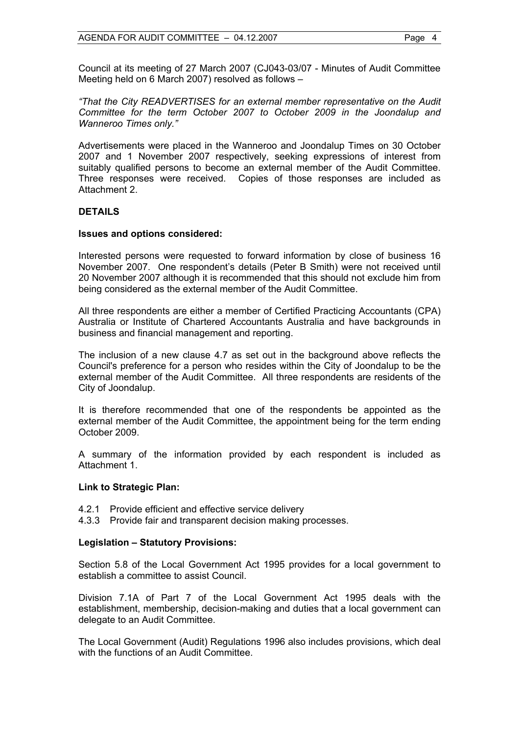Council at its meeting of 27 March 2007 (CJ043-03/07 - Minutes of Audit Committee Meeting held on 6 March 2007) resolved as follows –

*"That the City READVERTISES for an external member representative on the Audit Committee for the term October 2007 to October 2009 in the Joondalup and Wanneroo Times only."*

Advertisements were placed in the Wanneroo and Joondalup Times on 30 October 2007 and 1 November 2007 respectively, seeking expressions of interest from suitably qualified persons to become an external member of the Audit Committee. Three responses were received. Copies of those responses are included as Attachment 2.

#### **DETAILS**

#### **Issues and options considered:**

Interested persons were requested to forward information by close of business 16 November 2007. One respondent's details (Peter B Smith) were not received until 20 November 2007 although it is recommended that this should not exclude him from being considered as the external member of the Audit Committee.

All three respondents are either a member of Certified Practicing Accountants (CPA) Australia or Institute of Chartered Accountants Australia and have backgrounds in business and financial management and reporting.

The inclusion of a new clause 4.7 as set out in the background above reflects the Council's preference for a person who resides within the City of Joondalup to be the external member of the Audit Committee. All three respondents are residents of the City of Joondalup.

It is therefore recommended that one of the respondents be appointed as the external member of the Audit Committee, the appointment being for the term ending October 2009.

A summary of the information provided by each respondent is included as Attachment 1.

#### **Link to Strategic Plan:**

- 4.2.1 Provide efficient and effective service delivery
- 4.3.3 Provide fair and transparent decision making processes.

#### **Legislation – Statutory Provisions:**

Section 5.8 of the Local Government Act 1995 provides for a local government to establish a committee to assist Council.

Division 7.1A of Part 7 of the Local Government Act 1995 deals with the establishment, membership, decision-making and duties that a local government can delegate to an Audit Committee.

The Local Government (Audit) Regulations 1996 also includes provisions, which deal with the functions of an Audit Committee.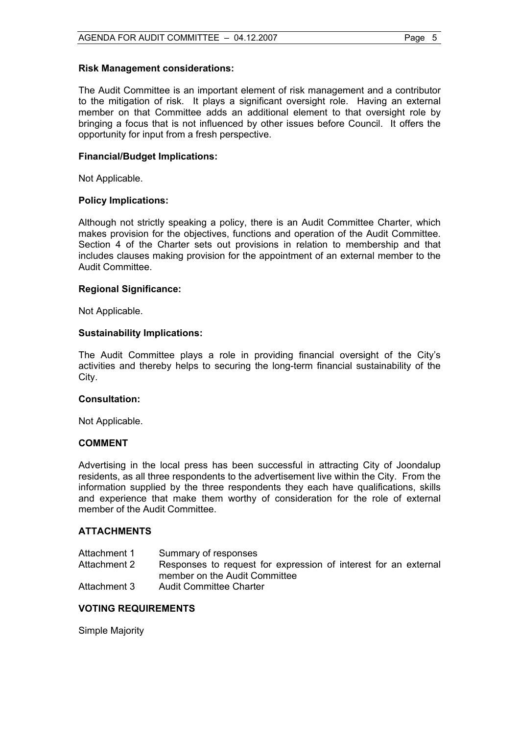#### **Risk Management considerations:**

The Audit Committee is an important element of risk management and a contributor to the mitigation of risk. It plays a significant oversight role. Having an external member on that Committee adds an additional element to that oversight role by bringing a focus that is not influenced by other issues before Council. It offers the opportunity for input from a fresh perspective.

#### **Financial/Budget Implications:**

Not Applicable.

#### **Policy Implications:**

Although not strictly speaking a policy, there is an Audit Committee Charter, which makes provision for the objectives, functions and operation of the Audit Committee. Section 4 of the Charter sets out provisions in relation to membership and that includes clauses making provision for the appointment of an external member to the Audit Committee.

#### **Regional Significance:**

Not Applicable.

#### **Sustainability Implications:**

The Audit Committee plays a role in providing financial oversight of the City's activities and thereby helps to securing the long-term financial sustainability of the City.

#### **Consultation:**

Not Applicable.

#### **COMMENT**

Advertising in the local press has been successful in attracting City of Joondalup residents, as all three respondents to the advertisement live within the City. From the information supplied by the three respondents they each have qualifications, skills and experience that make them worthy of consideration for the role of external member of the Audit Committee.

#### **ATTACHMENTS**

| Attachment 1 | Summary of responses                                            |
|--------------|-----------------------------------------------------------------|
| Attachment 2 | Responses to request for expression of interest for an external |
|              | member on the Audit Committee                                   |
| Attachment 3 | <b>Audit Committee Charter</b>                                  |

#### **VOTING REQUIREMENTS**

Simple Majority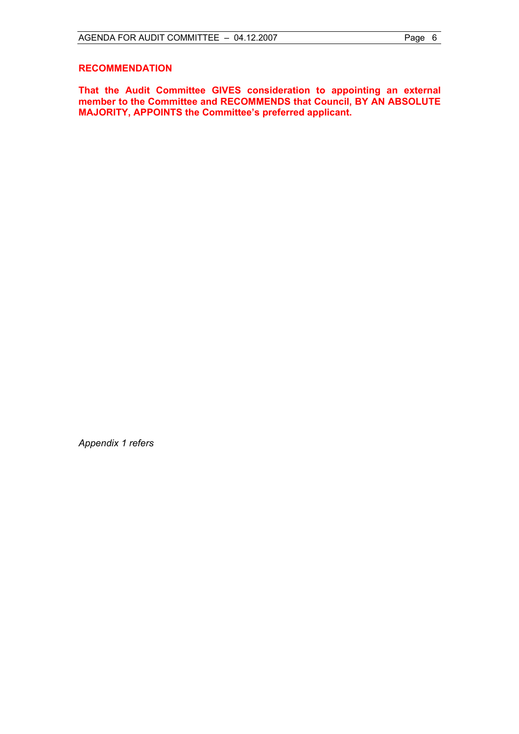#### **RECOMMENDATION**

**That the Audit Committee GIVES consideration to appointing an external member to the Committee and RECOMMENDS that Council, BY AN ABSOLUTE MAJORITY, APPOINTS the Committee's preferred applicant.** 

*Appendix 1 refers*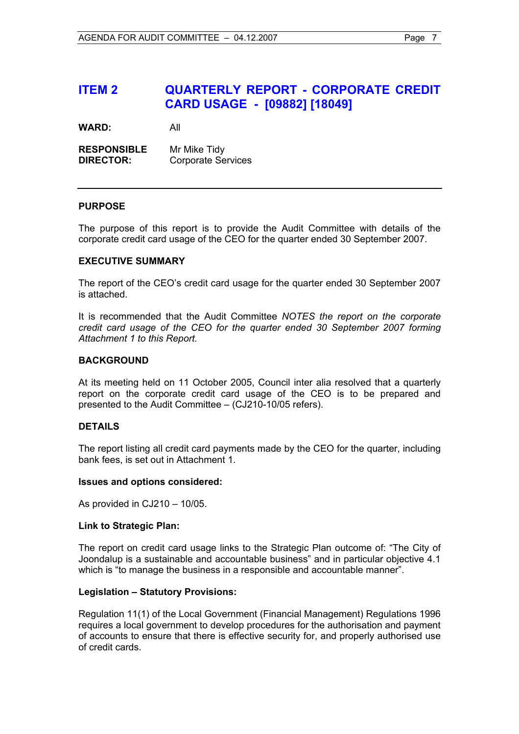### **ITEM 2 QUARTERLY REPORT - CORPORATE CREDIT CARD USAGE - [09882] [18049]**

**WARD:** All

**RESPONSIBLE** Mr Mike Tidy **DIRECTOR:** Corporate Services

#### **PURPOSE**

The purpose of this report is to provide the Audit Committee with details of the corporate credit card usage of the CEO for the quarter ended 30 September 2007.

#### **EXECUTIVE SUMMARY**

The report of the CEO's credit card usage for the quarter ended 30 September 2007 is attached.

It is recommended that the Audit Committee *NOTES the report on the corporate credit card usage of the CEO for the quarter ended 30 September 2007 forming Attachment 1 to this Report.* 

#### **BACKGROUND**

At its meeting held on 11 October 2005, Council inter alia resolved that a quarterly report on the corporate credit card usage of the CEO is to be prepared and presented to the Audit Committee – (CJ210-10/05 refers).

#### **DETAILS**

The report listing all credit card payments made by the CEO for the quarter, including bank fees, is set out in Attachment 1.

#### **Issues and options considered:**

As provided in CJ210 – 10/05.

#### **Link to Strategic Plan:**

The report on credit card usage links to the Strategic Plan outcome of: "The City of Joondalup is a sustainable and accountable business" and in particular objective 4.1 which is "to manage the business in a responsible and accountable manner".

#### **Legislation – Statutory Provisions:**

Regulation 11(1) of the Local Government (Financial Management) Regulations 1996 requires a local government to develop procedures for the authorisation and payment of accounts to ensure that there is effective security for, and properly authorised use of credit cards.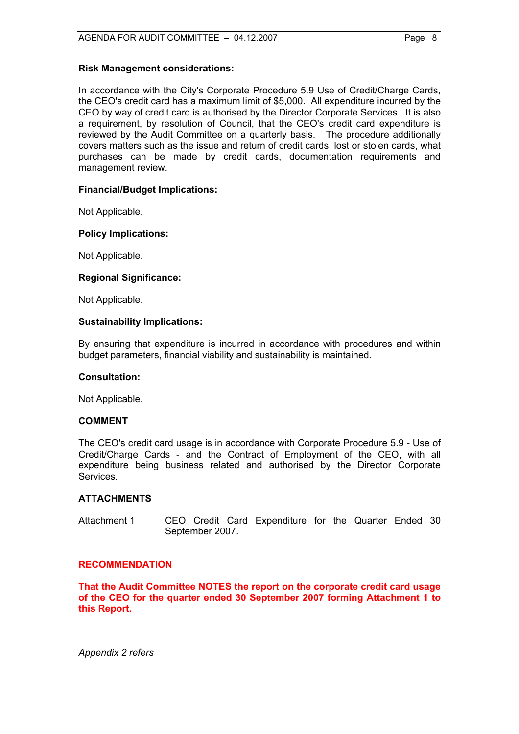#### **Risk Management considerations:**

In accordance with the City's Corporate Procedure 5.9 Use of Credit/Charge Cards, the CEO's credit card has a maximum limit of \$5,000. All expenditure incurred by the CEO by way of credit card is authorised by the Director Corporate Services. It is also a requirement, by resolution of Council, that the CEO's credit card expenditure is reviewed by the Audit Committee on a quarterly basis. The procedure additionally covers matters such as the issue and return of credit cards, lost or stolen cards, what purchases can be made by credit cards, documentation requirements and management review.

#### **Financial/Budget Implications:**

Not Applicable.

#### **Policy Implications:**

Not Applicable.

#### **Regional Significance:**

Not Applicable.

#### **Sustainability Implications:**

By ensuring that expenditure is incurred in accordance with procedures and within budget parameters, financial viability and sustainability is maintained.

#### **Consultation:**

Not Applicable.

#### **COMMENT**

The CEO's credit card usage is in accordance with Corporate Procedure 5.9 - Use of Credit/Charge Cards - and the Contract of Employment of the CEO, with all expenditure being business related and authorised by the Director Corporate Services.

#### **ATTACHMENTS**

Attachment 1 CEO Credit Card Expenditure for the Quarter Ended 30 September 2007.

#### **RECOMMENDATION**

**That the Audit Committee NOTES the report on the corporate credit card usage of the CEO for the quarter ended 30 September 2007 forming Attachment 1 to this Report.** 

*Appendix 2 refers*